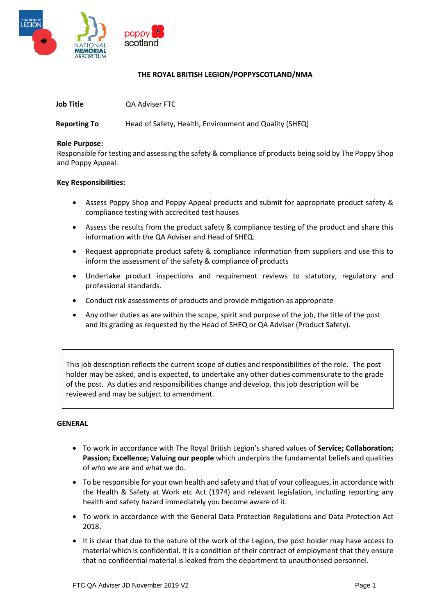

## **THE ROYAL BRITISH LEGION/POPPYSCOTLAND/NMA**

| <b>Job Title</b> | QA Adviser FTC |
|------------------|----------------|
|                  |                |

**Reporting To** Head of Safety, Health, Environment and Quality (SHEQ)

#### **Role Purpose:**

Responsible for testing and assessing the safety & compliance of products being sold by The Poppy Shop and Poppy Appeal.

#### **Key Responsibilities:**

- Assess Poppy Shop and Poppy Appeal products and submit for appropriate product safety & compliance testing with accredited test houses
- Assess the results from the product safety & compliance testing of the product and share this information with the QA Adviser and Head of SHEQ.
- Request appropriate product safety & compliance information from suppliers and use this to inform the assessment of the safety & compliance of products
- Undertake product inspections and requirement reviews to statutory, regulatory and professional standards.
- Conduct risk assessments of products and provide mitigation as appropriate
- Any other duties as are within the scope, spirit and purpose of the job, the title of the post and its grading as requested by the Head of SHEQ or QA Adviser (Product Safety).

This job description reflects the current scope of duties and responsibilities of the role. The post holder may be asked, and is expected, to undertake any other duties commensurate to the grade of the post. As duties and responsibilities change and develop, this job description will be reviewed and may be subject to amendment.

### **GENERAL**

- To work in accordance with The Royal British Legion's shared values of **Service; Collaboration; Passion; Excellence; Valuing our people** which underpins the fundamental beliefs and qualities of who we are and what we do.
- To be responsible for your own health and safety and that of your colleagues, in accordance with the Health & Safety at Work etc Act (1974) and relevant legislation, including reporting any health and safety hazard immediately you become aware of it.
- To work in accordance with the General Data Protection Regulations and Data Protection Act 2018.
- It is clear that due to the nature of the work of the Legion, the post holder may have access to material which is confidential. It is a condition of their contract of employment that they ensure that no confidential material is leaked from the department to unauthorised personnel.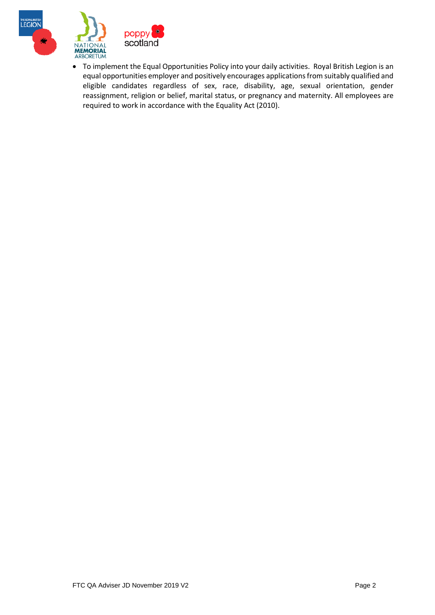



• To implement the Equal Opportunities Policy into your daily activities. Royal British Legion is an equal opportunities employer and positively encourages applications from suitably qualified and eligible candidates regardless of sex, race, disability, age, sexual orientation, gender reassignment, religion or belief, marital status, or pregnancy and maternity. All employees are required to work in accordance with the Equality Act (2010).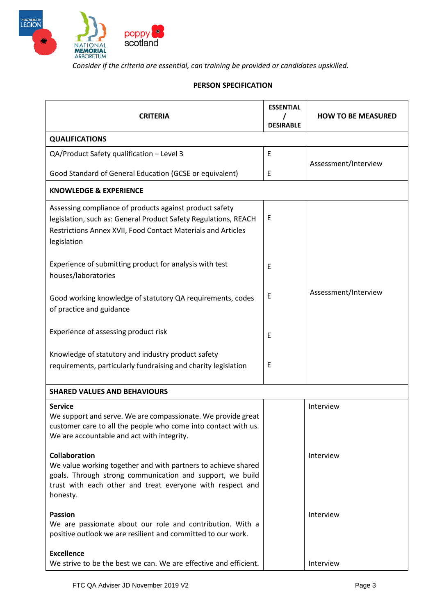

*Consider if the criteria are essential, can training be provided or candidates upskilled.* 

# **PERSON SPECIFICATION**

| <b>CRITERIA</b>                                                                                                                                                                                                             | <b>ESSENTIAL</b> | <b>HOW TO BE MEASURED</b> |  |  |
|-----------------------------------------------------------------------------------------------------------------------------------------------------------------------------------------------------------------------------|------------------|---------------------------|--|--|
| <b>DESIRABLE</b>                                                                                                                                                                                                            |                  |                           |  |  |
| <b>QUALIFICATIONS</b>                                                                                                                                                                                                       |                  |                           |  |  |
| QA/Product Safety qualification - Level 3                                                                                                                                                                                   | E                | Assessment/Interview      |  |  |
| Good Standard of General Education (GCSE or equivalent)                                                                                                                                                                     | E                |                           |  |  |
| <b>KNOWLEDGE &amp; EXPERIENCE</b>                                                                                                                                                                                           |                  |                           |  |  |
| Assessing compliance of products against product safety<br>legislation, such as: General Product Safety Regulations, REACH<br>Restrictions Annex XVII, Food Contact Materials and Articles<br>legislation                   | Ε                |                           |  |  |
| Experience of submitting product for analysis with test<br>houses/laboratories                                                                                                                                              | E                |                           |  |  |
| Good working knowledge of statutory QA requirements, codes<br>of practice and guidance                                                                                                                                      | Ε                | Assessment/Interview      |  |  |
| Experience of assessing product risk                                                                                                                                                                                        | Ε                |                           |  |  |
| Knowledge of statutory and industry product safety<br>requirements, particularly fundraising and charity legislation                                                                                                        | E                |                           |  |  |
| <b>SHARED VALUES AND BEHAVIOURS</b>                                                                                                                                                                                         |                  |                           |  |  |
| <b>Service</b><br>We support and serve. We are compassionate. We provide great<br>customer care to all the people who come into contact with us.<br>We are accountable and act with integrity.                              |                  | Interview                 |  |  |
| <b>Collaboration</b><br>We value working together and with partners to achieve shared<br>goals. Through strong communication and support, we build<br>trust with each other and treat everyone with respect and<br>honesty. |                  | Interview                 |  |  |
| <b>Passion</b><br>We are passionate about our role and contribution. With a<br>positive outlook we are resilient and committed to our work.                                                                                 |                  | Interview                 |  |  |
| <b>Excellence</b><br>We strive to be the best we can. We are effective and efficient.                                                                                                                                       |                  | Interview                 |  |  |